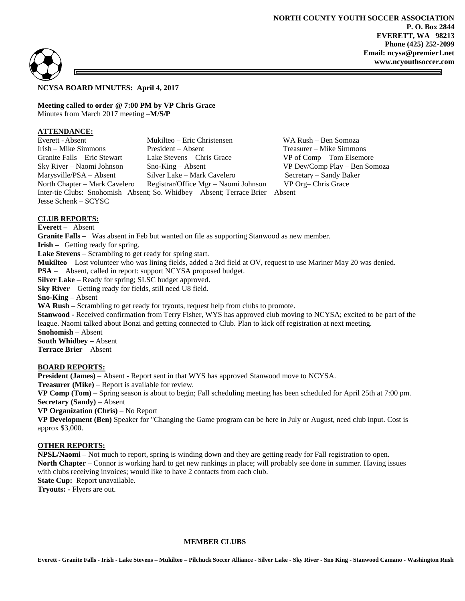



## **NCYSA BOARD MINUTES: April 4, 2017**

**Meeting called to order @ 7:00 PM by VP Chris Grace** Minutes from March 2017 meeting –**M/S/P**

## **ATTENDANCE:**

Everett -Absent Mukilteo – Eric Christensen WA Rush – Ben Somoza Irish – Mike Simmons President – Absent Treasurer – Mike Simmons Granite Falls – Eric Stewart Lake Stevens – Chris Grace VP of Comp – Tom Elsemore Sky River – Naomi Johnson Sno-King – Absent VP Dev/Comp Play – Ben Somoza Marysville/PSA – Absent Silver Lake – Mark Cavelero Secretary – Sandy Baker<br>North Chapter – Mark Cavelero Registrar/Office Mgr – Naomi Johnson VP Org– Chris Grace North Chapter – Mark Cavelero Registrar/Office Mgr – Naomi Johnson Inter-tie Clubs: Snohomish –Absent; So. Whidbey – Absent; Terrace Brier – Absent Jesse Schenk – SCYSC

# **CLUB REPORTS:**

**Everett –** Absent

**Granite Falls –** Was absent in Feb but wanted on file as supporting Stanwood as new member.

**Irish –** Getting ready for spring.

**Lake Stevens** – Scrambling to get ready for spring start.

**Mukilteo** – Lost volunteer who was lining fields, added a 3rd field at OV, request to use Mariner May 20 was denied.

**PSA** – Absent, called in report: support NCYSA proposed budget.

**Silver Lake –** Ready for spring; SLSC budget approved.

**Sky River** – Getting ready for fields, still need U8 field.

**Sno-King –** Absent

**WA Rush –** Scrambling to get ready for tryouts, request help from clubs to promote.

**Stanwood -** Received confirmation from Terry Fisher, WYS has approved club moving to NCYSA; excited to be part of the league. Naomi talked about Bonzi and getting connected to Club. Plan to kick off registration at next meeting. **Snohomish** – Absent

**South Whidbey –** Absent

**Terrace Brier** – Absent

## **BOARD REPORTS:**

**President (James)** – Absent - Report sent in that WYS has approved Stanwood move to NCYSA.

**Treasurer (Mike)** – Report is available for review.

**VP Comp (Tom)** – Spring season is about to begin; Fall scheduling meeting has been scheduled for April 25th at 7:00 pm. **Secretary (Sandy)** – Absent

**VP Organization (Chris)** – No Report

**VP Development (Ben)** Speaker for "Changing the Game program can be here in July or August, need club input. Cost is approx \$3,000.

# **OTHER REPORTS:**

**NPSL/Naomi –** Not much to report, spring is winding down and they are getting ready for Fall registration to open. **North Chapter** – Connor is working hard to get new rankings in place; will probably see done in summer. Having issues with clubs receiving invoices; would like to have 2 contacts from each club.

**State Cup:** Report unavailable.

**Tryouts: -** Flyers are out.

#### **MEMBER CLUBS**

Everett - Granite Falls - Irish - Lake Stevens - Mukilteo - Pilchuck Soccer Alliance - Silver Lake - Sky River - Sno King - Stanwood Camano - Washington Rush